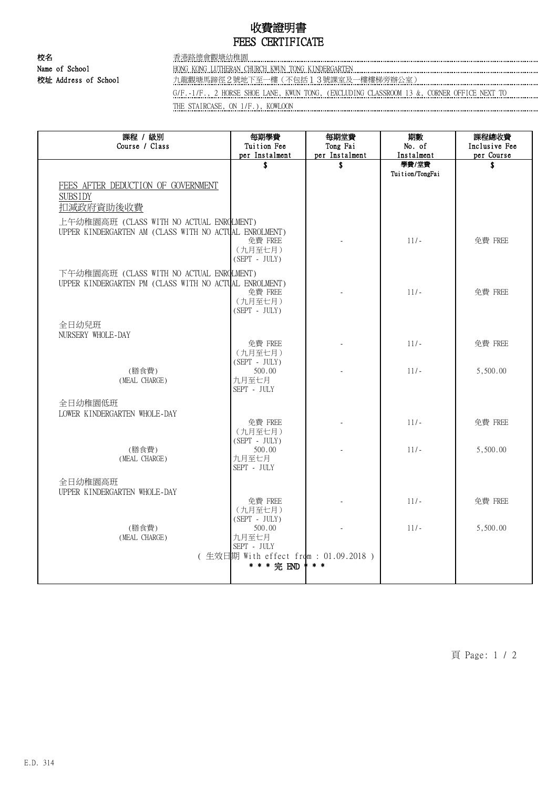## 收費證明書 FEES CERTIFICATE

校名 香港路德會觀塘幼稚園

Name of School HONG KONG LUTHERAN CHURCH KWUN TONG KINDERGARTEN

校址 Address of School 九龍觀塘馬蹄徑2號地下至一樓(不包括13號課室及一樓樓梯旁辦公室)

G/F.-1/F., 2 HORSE SHOE LANE, KWUN TONG, (EXCLUDING CLASSROOM 13 &, CORNER OFFICE NEXT TO

THE STAIRCASE, ON 1/F.), KOWLOON **CONSIDERATION** 

| 課程 / 級別<br>Course / Class                                                                          | 每期學費<br>Tuition Fee                   | 每期堂費<br>Tong Fai    | 期數<br>No. of        | 課程總收費<br>Inclusive Fee |
|----------------------------------------------------------------------------------------------------|---------------------------------------|---------------------|---------------------|------------------------|
|                                                                                                    | per Instalment<br>\$                  | per Instalment<br>S | Instalment<br>學費/堂費 | per Course<br>\$       |
|                                                                                                    |                                       |                     | Tuition/TongFai     |                        |
| FEES AFTER DEDUCTION OF GOVERNMENT                                                                 |                                       |                     |                     |                        |
| <b>SUBSIDY</b>                                                                                     |                                       |                     |                     |                        |
| 扣減政府資助後收費                                                                                          |                                       |                     |                     |                        |
| 上午幼稚園高班 (CLASS WITH NO ACTUAL ENROLMENT)<br>UPPER KINDERGARTEN AM (CLASS WITH NO ACTUAL ENROLMENT) |                                       |                     |                     |                        |
|                                                                                                    | 免費 FREE                               |                     | $11/-$              | 免費 FREE                |
|                                                                                                    | (九月至七月)<br>$(SEPT - JULY)$            |                     |                     |                        |
|                                                                                                    |                                       |                     |                     |                        |
| 下午幼稚園高班 (CLASS WITH NO ACTUAL ENROLMENT)<br>UPPER KINDERGARTEN PM (CLASS WITH NO ACTUAL ENROLMENT) |                                       |                     |                     |                        |
|                                                                                                    | 免費 FREE                               |                     | $11/-$              | 免費 FREE                |
|                                                                                                    | (九月至七月)<br>$(SEPT - JULY)$            |                     |                     |                        |
| 全日幼兒班                                                                                              |                                       |                     |                     |                        |
| NURSERY WHOLE-DAY                                                                                  |                                       |                     |                     |                        |
|                                                                                                    | 免費 FREE<br>(九月至七月)                    |                     | $11/-$              | 免費 FREE                |
|                                                                                                    | $(SEPT - JULY)$                       |                     |                     |                        |
| (膳食費)<br>(MEAL CHARGE)                                                                             | 500.00<br>九月至七月                       |                     | $11/-$              | 5,500.00               |
|                                                                                                    | SEPT - JULY                           |                     |                     |                        |
| 全日幼稚園低班                                                                                            |                                       |                     |                     |                        |
| LOWER KINDERGARTEN WHOLE-DAY                                                                       | 免費 FREE                               |                     | $11/-$              | 免費 FREE                |
|                                                                                                    | (九月至七月)                               |                     |                     |                        |
| (膳食費)                                                                                              | $(SEPT - JULY)$<br>500.00             |                     | $11/-$              | 5,500.00               |
| (MEAL CHARGE)                                                                                      | 九月至七月                                 |                     |                     |                        |
|                                                                                                    | SEPT - JULY                           |                     |                     |                        |
| 全日幼稚園高班<br>UPPER KINDERGARTEN WHOLE-DAY                                                            |                                       |                     |                     |                        |
|                                                                                                    | 免費 FREE                               |                     | $11/-$              | 免費 FREE                |
|                                                                                                    | (九月至七月)<br>$(SEPT - JULY)$            |                     |                     |                        |
| (膳食費)                                                                                              | 500.00                                |                     | $11/-$              | 5,500.00               |
| (MEAL CHARGE)                                                                                      | 九月至七月<br>SEPT - JULY                  |                     |                     |                        |
|                                                                                                    | (生效日期 With effect from : 01.09.2018 ) |                     |                     |                        |
|                                                                                                    | * * * 完 END                           | $*$ *               |                     |                        |
|                                                                                                    |                                       |                     |                     |                        |

頁 Page: 1 / 2